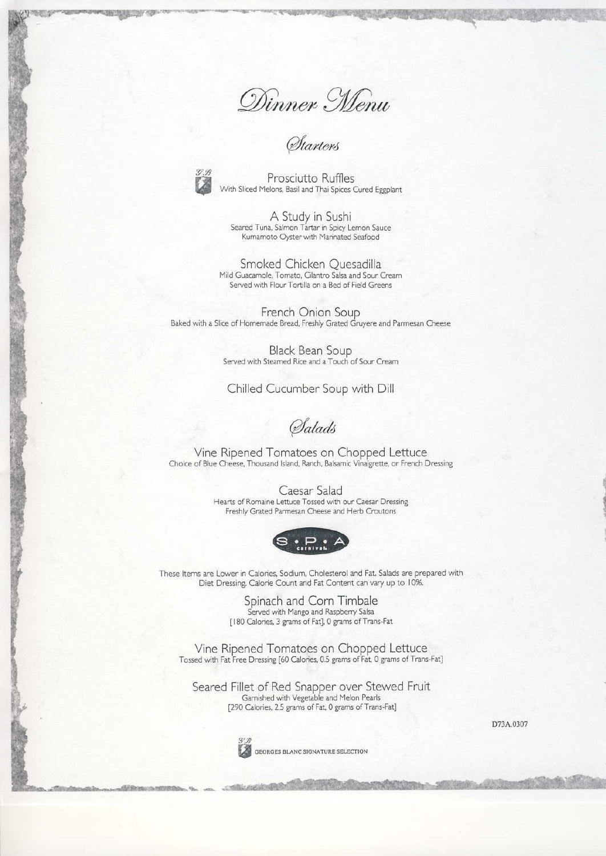Dinner Menu<br>Starters



Prosciutto Ruffles With Sliced Melons, Basil and Thai Spices Cured Eggplant

A Study in Sushi<br>Seared Tuna, Salmon Tartar in Spicy Lemon Sauce Kumamoto Oyster with Marinated Seafood

Smoked Chicken Quesadilla Mild Guacamole, Tomato, Cilantro Salsa and Sour Cream Served with Flour Tortilla on a Bed of Field Greens

French Onion Soup Baked with a Slice of Homemade Bread, Freshly Grated Gruyere and Parmesan Cheese

> **Black Bean Soup** Served with Steamed Rice and a Touch of Sour Cream

Chilled Cucumber Soup with Dill

Salads

Vine Ripened Tomatoes on Chopped Lettuce Choice of Blue Cheese, Thousand Island, Ranch, Balsamic Vinaigrette, or French Dressing

> Caesar Salad Hearts of Romaine Lettuce Tossed with our Caesar Dressing Freshly Grated Parmesan Cheese and Herb Croutons



These Items are Lower in Calories, Sodium, Cholesterol and Fat. Salads are prepared with Diet Dressing. Calorie Count and Fat Content can vary up to 10%.

> Spinach and Corn Timbale Served with Mango and Raspberry Salsa<br>
> [180 Calories, 3 grams of Fat], 0 grams of Trans-Fat

Vine Ripened Tomatoes on Chopped Lettuce Tossed with Fat Free Dressing [60 Calories, 0.5 grams of Fat, 0 grams of Trans-Fat]

Seared Fillet of Red Snapper over Stewed Fruit Gamished with Vegetable and Melon Pearls<br>
[290 Calories, 2.5 grams of Fat, 0 grams of Trans-Fat]

D73A.0307



GEORGES BLANC SIGNATURE SELECTION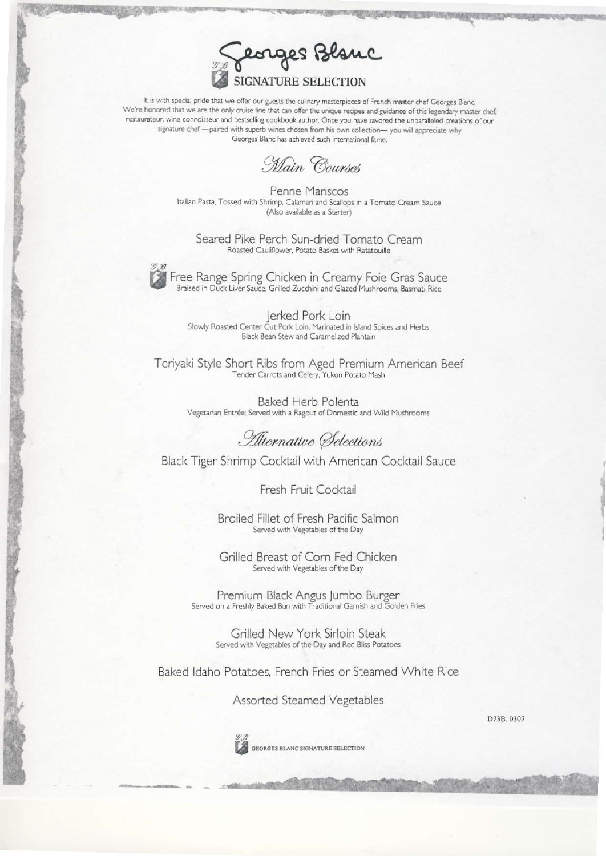

It is with special pride that we offer our guests the culinary masterpieces of French master chef Georges Blanc. We're honored that we are the only cruise line that can offer the unique recipes and guidance of this legendary master chef, restaurateur, wine connoisseur and bestselling cookbook author. Once you have savored the unparalleled creations of our signature chef - paired with superb wines chosen from his own collection- you will appreciate why Georges Blanc has achieved such international fame.

Main Courses

Penne Mariscos Italian Pasta, Tossed with Shrimp, Calamari and Scallops in a Tomato Cream Sauce (Also available as a Starter)

Seared Pike Perch Sun-dried Tomato Cream Roasted Cauliflower, Potato Basket with Ratatouille

Free Range Spring Chicken in Creamy Foie Gras Sauce<br>Braised in Duck Liver Sauce, Grilled Zucchini and Glazed Mushrooms, Basmati Rice

Jerked Pork Loin Slowly Roasted Center Cut Pork Loin, Marinated in Island Spices and Herbs<br>Black Bean Stew and Caramelized Plantain

Teriyaki Style Short Ribs from Aged Premium American Beef<br>Tender Carrots and Celery, Yukon Potato Mash

**Baked Herb Polenta** Vegetarian Entrée; Served with a Ragout of Domestic and Wild Mushrooms

Alternative Selections

Black Tiger Shrimp Cocktail with American Cocktail Sauce

Fresh Fruit Cocktail

Broiled Fillet of Fresh Pacific Salmon Served with Vegetables of the Day

Grilled Breast of Corn Fed Chicken Served with Vegetables of the Day

Premium Black Angus Jumbo Burger Served on a Freshly Baked Bun with Traditional Garnish and Golden Fries

> Grilled New York Sirloin Steak Served with Vegetables of the Day and Red Bliss Potatoes

Baked Idaho Potatoes, French Fries or Steamed White Rice

Assorted Steamed Vegetables

D73B. 0307



GEORGES BLANC SIGNATURE SELECTION